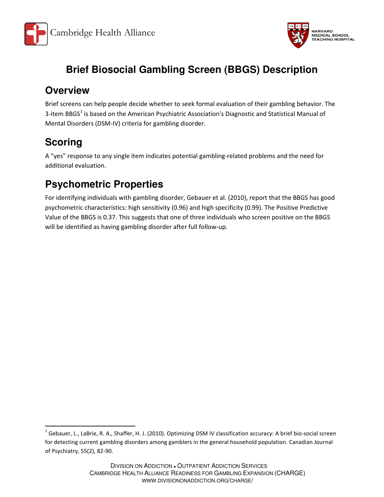



# **Brief Biosocial Gambling Screen (BBGS) Description**

#### **Overview**

Brief screens can help people decide whether to seek formal evaluation of their gambling behavior. The 3-item BBGS<sup>1</sup> is based on the American Psychiatric Association's Diagnostic and Statistical Manual of Mental Disorders (DSM-IV) criteria for gambling disorder.

# **Scoring**

 $\overline{\phantom{0}}$ 

A "yes" response to any single item indicates potential gambling-related problems and the need for additional evaluation.

### **Psychometric Properties**

For identifying individuals with gambling disorder, Gebauer et al. (2010), report that the BBGS has good psychometric characteristics: high sensitivity (0.96) and high specificity (0.99). The Positive Predictive Value of the BBGS is 0.37. This suggests that one of three individuals who screen positive on the BBGS will be identified as having gambling disorder after full follow-up.

<sup>&</sup>lt;sup>1</sup> Gebauer, L., LaBrie, R. A., Shaffer, H. J. (2010). Optimizing DSM IV classification accuracy: A brief bio-social screen for detecting current gambling disorders among gamblers in the general household population. Canadian Journal of Psychiatry, 55(2), 82-90.